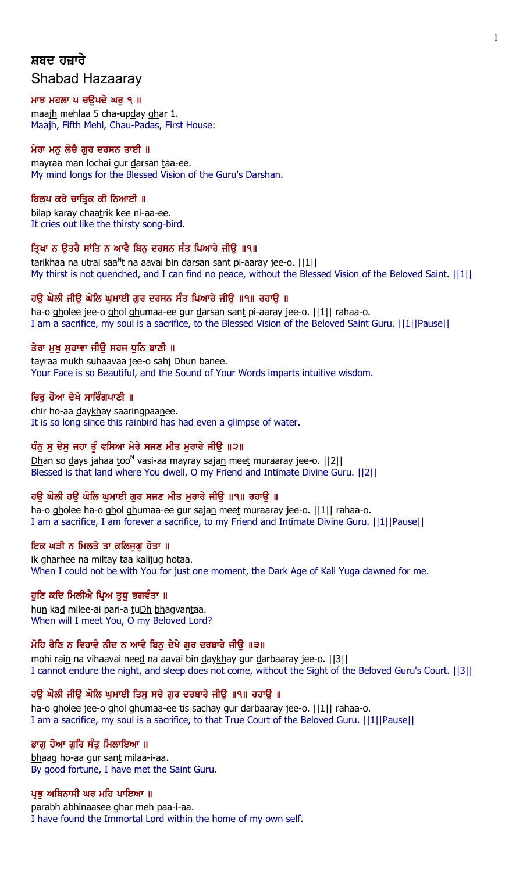# ਸ਼ਬਦ ਹਜ਼ਾਰੇ Shabad Hazaaray

### ਮਾਝ ਮਹਲਾ ਪ ਚਉਪਦੇ ਘਰੁ ੧ ॥

maajh mehlaa 5 cha-upday ghar 1. Maajh, Fifth Mehl, Chau-Padas, First House:

## ਮੇਰਾ ਮਨੂ ਲੌਚੈ ਗੁਰ ਦਰਸਨ ਤਾਈ ॥

mayraa man lochai gur darsan taa-ee. My mind longs for the Blessed Vision of the Guru's Darshan.

## ਬਿਲਪ ਕਰੇ ਚਾਤਿਕ ਕੀ ਨਿਆਈ ॥

bilap karay chaatrik kee ni-aa-ee. It cries out like the thirsty song-bird.

## ਤ੍ਰਿਖਾ ਨ ਉਤਰੈ ਸਾਂਤਿ ਨ ਆਵੈ ਬਿਨੁ ਦਰਸਨ ਸੰਤ ਪਿਆਰੇ ਜੀਉ ॥੧॥

tarikhaa na utrai saa<sup>n</sup>t na aavai bin <u>d</u>arsan sant pi-aaray jee-o. ||1|| My thirst is not quenched, and I can find no peace, without the Blessed Vision of the Beloved Saint. ||1||

### ਹਉ ਘੋਲੀ ਜੀਉ ਘੋਲਿ ਘੁਮਾਈ ਗੁਰ ਦਰਸਨ ਸੰਤ ਪਿਆਰੇ ਜੀਉ ॥੧॥ ਰਹਾਉ ॥

ha-o gholee jee-o ghol ghumaa-ee gur darsan sant pi-aaray jee-o. ||1|| rahaa-o. I am a sacrifice, my soul is a sacrifice, to the Blessed Vision of the Beloved Saint Guru. ||1||Pause||

### ਤੇਰਾ ਮੁਖੁ ਸੁਹਾਵਾ ਜੀਉ ਸਹਜ ਧੁਨਿ ਬਾਣੀ ॥

tayraa mukh suhaavaa jee-o sahj Dhun banee. Your Face is so Beautiful, and the Sound of Your Words imparts intuitive wisdom.

### ਚਿਰੂ ਹੋਆ ਦੇਖੇ ਸਾਰਿੰਗਪਾਣੀ ॥

chir ho-aa daykhay saaringpaanee. It is so long since this rainbird has had even a glimpse of water.

## ਧੰਨੂ ਸੁ ਦੇਸੁ ਜਹਾ ਤੂੰ ਵਸਿਆ ਮੇਰੇ ਸਜਣ ਮੀਤ ਮੁਰਾਰੇ ਜੀਉ ॥੨॥

Dhan so days jahaa too<sup>n</sup> vasi-aa mayray sajan meet muraaray jee-o. [[2][ Blessed is that land where You dwell, O my Friend and Intimate Divine Guru. ||2||

## ਹਉ ਘੋਲੀ ਹਉ ਘੋਲਿ ਘੁਮਾਈ ਗੁਰ ਸਜਣ ਮੀਤ ਮੁਰਾਰੇ ਜੀਉ ॥੧॥ ਰਹਾਉ ॥

ha-o gholee ha-o ghol ghumaa-ee gur sajan meet muraaray jee-o. ||1|| rahaa-o. I am a sacrifice, I am forever a sacrifice, to my Friend and Intimate Divine Guru. ||1||Pause||

## ਇਕ ਘੜੀ ਨ ਮਿਲਤੇ ਤਾ ਕਲਿਜਗ ਹੋਤਾ ॥

ik gharhee na miltay taa kalijug hotaa. When I could not be with You for just one moment, the Dark Age of Kali Yuga dawned for me.

### ਹੁਣਿ ਕਦਿ ਮਿਲੀਐ ਪ੍ਰਿਅ ਤੁਧੁ ਭਗਵੰਤਾ ॥

hun kad milee-ai pari-a tuDh bhagvantaa. When will I meet You, O my Beloved Lord?

## ਮੋਹਿ ਰੈਣਿ ਨ ਵਿਹਾਵੈ ਨੀਦ ਨ ਆਵੈ ਬਿਨੁ ਦੇਖੇ ਗੁਰ ਦਰਬਾਰੇ ਜੀਉ ॥੩॥

mohi rain na vihaavai need na aavai bin daykhay gur darbaaray jee-o. [13] I cannot endure the night, and sleep does not come, without the Sight of the Beloved Guru's Court. ||3||

## ਹਉ ਘੋਲੀ ਜੀਉ ਘੋਲਿ ਘੁਮਾਈ ਤਿਸੁ ਸਚੇ ਗੁਰ ਦਰਬਾਰੇ ਜੀਉ ॥੧॥ ਰਹਾਉ ॥

ha-o gholee jee-o ghol ghumaa-ee tis sachay gur darbaaray jee-o. ||1|| rahaa-o. I am a sacrifice, my soul is a sacrifice, to that True Court of the Beloved Guru. ||1||Pause||

### ਭਾਗੂ ਹੋਆ ਗੁਰਿ ਸੰਤੂ ਮਿਲਾਇਆ ॥

bhaag ho-aa gur sant milaa-i-aa. By good fortune, I have met the Saint Guru.

### ਪ੍ਰਭੂ ਅਬਿਨਾਸੀ ਘਰ ਮਹਿ ਪਾਇਆ ॥

parabh abhinaasee ghar meh paa-i-aa. I have found the Immortal Lord within the home of my own self.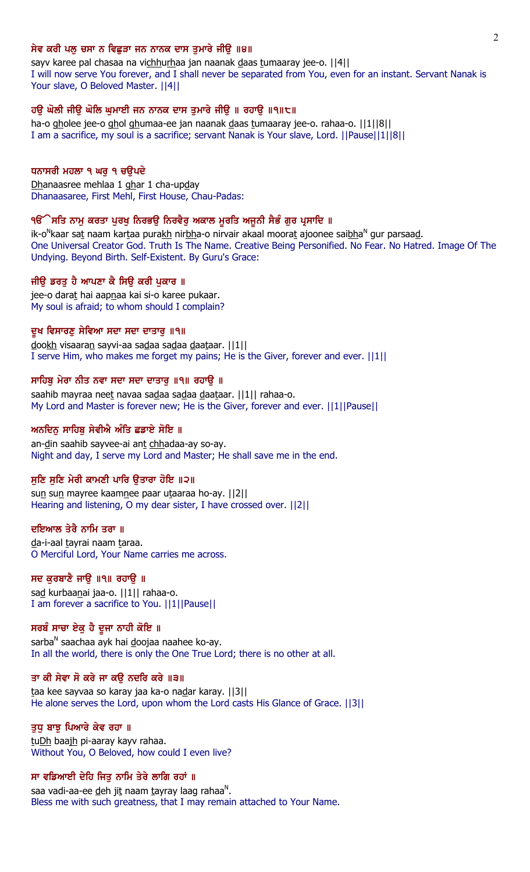### ਸੇਵ ਕਰੀ ਪਲੂ ਚਸਾ ਨ ਵਿਛੁੜਾ ਜਨ ਨਾਨਕ ਦਾਸ ਤੁਮਾਰੇ ਜੀਉ ॥੪॥

sayv karee pal chasaa na vichhurhaa jan naanak daas tumaaray jee-o. [[4]] I will now serve You forever, and I shall never be separated from You, even for an instant. Servant Nanak is Your slave, O Beloved Master. ||4||

## ਹਉ ਘੋਲੀ ਜੀਊ ਘੋਲਿ ਘੁਮਾਈ ਜਨ ਨਾਨਕ ਦਾਸ ਤੁਮਾਰੇ ਜੀਉ ॥ ਰਹਾਉ ॥੧॥੮॥

ha-o gholee jee-o ghol ghumaa-ee jan naanak daas tumaaray jee-o. rahaa-o. | |1||8|| I am a sacrifice, my soul is a sacrifice; servant Nanak is Your slave, Lord. ||Pause||1||8||

### ਧਨਾਸਰੀ ਮਹਲਾ ੧ ਘਰੁ ੧ ਚਉਪਦੇ

Dhanaasree mehlaa 1 ghar 1 cha-upday Dhanaasaree, First Mehl, First House, Chau-Padas:

### ੧ੳੱੇਸਤਿ ਨਾਮੁ ਕਰਤਾ ਪੁਰਖੁ ਨਿਰਭਉ ਨਿਰਵੈਰੁ ਅਕਾਲ ਮੂਰਤਿ ਅਜੂਨੀ ਸੈਭੰ ਗੁਰ ਪ੍ਰਸਾਦਿ ॥

ik-o<sup>N</sup>kaar sat naam kartaa pura<u>kh</u> nir<u>bh</u>a-o nirvair akaal moorat ajoonee sai<u>bh</u>a<sup>n</sup> gur parsaa<u>d</u>. One Universal Creator God. Truth Is The Name. Creative Being Personified. No Fear. No Hatred. Image Of The Undying. Beyond Birth. Self-Existent. By Guru's Grace:

## ਜੀਉ ਡਰਤੁ ਹੈ ਆਪਣਾ ਕੈ ਸਿਉ ਕਰੀ ਪੁਕਾਰ ॥

jee-o darat hai aapnaa kai si-o karee pukaar. My soul is afraid; to whom should I complain?

#### ਦੂਖ ਵਿਸਾਰਣੁ ਸੇਵਿਆ ਸਦਾ ਸਦਾ ਦਾਤਾਰੁ ॥੧॥

dookh visaaran sayvi-aa sadaa sadaa daataar. ||1|| I serve Him, who makes me forget my pains; He is the Giver, forever and ever. ||1||

#### ਸਾਹਿਬੂ ਮੇਰਾ ਨੀਤ ਨਵਾ ਸਦਾ ਸਦਾ ਦਾਤਾਰੂ ॥੧॥ ਰਹਾਉੁ ॥

saahib mayraa neet navaa sadaa sadaa daataar. ||1|| rahaa-o. My Lord and Master is forever new; He is the Giver, forever and ever. ||1||Pause||

#### ਅਨਦਿਨ ਸਾਹਿਬੂ ਸੇਵੀਐ ਅੰਤਿ ਛਡਾਏ ਸੋਇ ॥

an-din saahib sayvee-ai ant chhadaa-ay so-ay. Night and day, I serve my Lord and Master; He shall save me in the end.

### ਸੁਣਿ ਸੁਣਿ ਮੇਰੀ ਕਾਮਣੀ ਪਾਰਿ ਉਤਾਰਾ ਹੋਇ ॥੨॥

sun sun mayree kaamnee paar utaaraa ho-ay. ||2|| Hearing and listening, O my dear sister, I have crossed over. ||2||

#### ਦਇਆਲ ਤੇਰੈ ਨਾਮਿ ਤਰਾ ॥

da-i-aal tayrai naam taraa. O Merciful Lord, Your Name carries me across.

## ਸਦ ਕੁਰਬਾਣੈ ਜਾਉ ॥੧॥ ਰਹਾਉ ॥

sa<u>d</u> kurbaanai jaa-o. ||1|| rahaa-o. I am forever a sacrifice to You. ||1||Pause||

## ਸਰਬੰ ਸਾਚਾ ਏਕੁ ਹੈ ਦੂਜਾ ਨਾਹੀ ਕੋਇ ॥

sarba<sup>n</sup> saachaa ayk hai <u>d</u>oojaa naahee ko-ay. In all the world, there is only the One True Lord; there is no other at all.

#### ਤਾ ਕੀ ਸੇਵਾ ਸੋ ਕਰੇ ਜਾ ਕਉ ਨਦਰਿ ਕਰੇ ॥੩॥

taa kee sayvaa so karay jaa ka-o nadar karay. | 3|| He alone serves the Lord, upon whom the Lord casts His Glance of Grace. ||3||

### ਤਧ ਬਾਝ ਪਿਆਰੇ ਕੇਵ ਰਹਾ ॥

tuDh baajh pi-aaray kayv rahaa. Without You, O Beloved, how could I even live?

### ਸਾ ਵਡਿਆਈ ਦੇਹਿ ਜਿਤੁ ਨਾਮਿ ਤੇਰੇ ਲਾਗਿ ਰਹਾਂ ॥

saa vadi-aa-ee <u>d</u>eh ji<u>t</u> naam <u>t</u>ayray laag rahaa<sup>n</sup>. Bless me with such greatness, that I may remain attached to Your Name.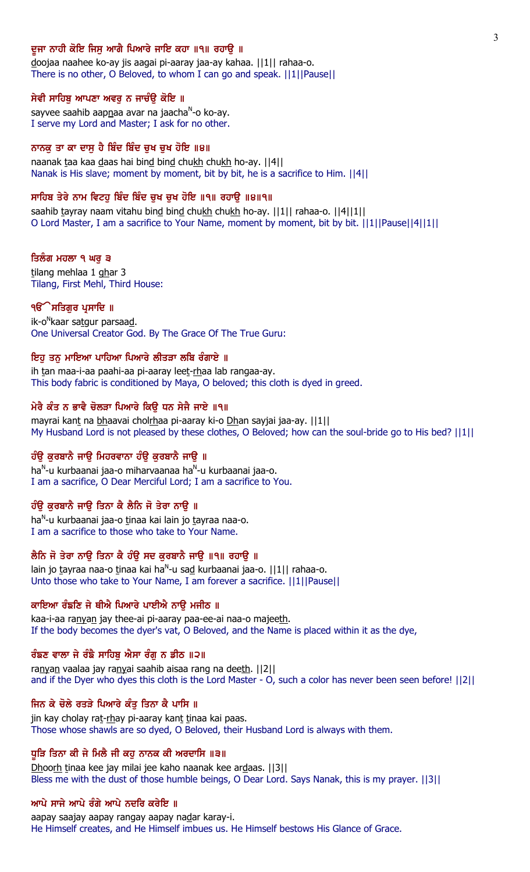### ਦੂਜਾ ਨਾਹੀ ਕੋਇ ਜਿਸੂ ਆਗੈ ਪਿਆਰੇ ਜਾਇ ਕਹਾ ॥੧॥ ਰਹਾਉ ॥

doojaa naahee ko-ay jis aagai pi-aaray jaa-ay kahaa. ||1|| rahaa-o. There is no other, O Beloved, to whom I can go and speak. ||1||Pause||

#### ਸੇਵੀ ਸਾਹਿਬੂ ਆਪਣਾ ਅਵਰੂ ਨ ਜਾਚੰਉ ਕੋਇ ॥

sayvee saahib aapnaa avar na jaacha<sup>n</sup>-o ko-ay. I serve my Lord and Master; I ask for no other.

### ਨਾਨਕੂ ਤਾ ਕਾ ਦਾਸੂ ਹੈ ਬਿੰਦ ਬਿੰਦ ਚੁਖ ਚੁਖ ਹੋਇ ॥੪॥

naanak taa kaa daas hai bind bind chukh chukh ho-ay. ||4|| Nanak is His slave; moment by moment, bit by bit, he is a sacrifice to Him. ||4||

### ਸਾਹਿਬ ਤੇਰੇ ਨਾਮ ਵਿਟਹੁ ਬਿੰਦ ਬਿੰਦ ਚੁਖ ਚੁਖ ਹੋਇ ॥੧॥ ਰਹਾਉ ॥੪॥੧॥

saahib tayray naam vitahu bind bind chukh chukh ho-ay.  $||1||$  rahaa-o.  $||4||1||$ O Lord Master, I am a sacrifice to Your Name, moment by moment, bit by bit. ||1||Pause||4||1||

#### ਤਿਲੰਗ ਮਹਲਾ ੧ ਘਰੁ ੩

tilang mehlaa 1 ghar 3 Tilang, First Mehl, Third House:

#### ੧**ੳੱੇ ਸਤਿਗੁਰ ਪ੍ਰਸਾਦਿ** ॥

ik-o<sup>n</sup>kaar sa<u>tg</u>ur parsaa<u>d</u>. One Universal Creator God. By The Grace Of The True Guru:

### ਇਹੁ ਤਨੁ ਮਾਇਆ ਪਾਹਿਆ ਪਿਆਰੇ ਲੀਤੜਾ ਲਬਿ ਰੰਗਾਏ ॥

ih tan maa-i-aa paahi-aa pi-aaray leet-rhaa lab rangaa-ay. This body fabric is conditioned by Maya, O beloved; this cloth is dyed in greed.

### ਮੇਰੈ ਕੰਤ ਨ ਭਾਵੈ ਚੋਲੜਾ ਪਿਆਰੇ ਕਿਉ ਧਨ ਸੇਜੈ ਜਾਏ ॥੧॥

mayrai kant na bhaavai cholrhaa pi-aaray ki-o Dhan sayjai jaa-ay. ||1|| My Husband Lord is not pleased by these clothes, O Beloved; how can the soul-bride go to His bed? ||1||

### ਹੰਉ ਕੁਰਬਾਨੈ ਜਾਉ ਮਿਹਰਵਾਨਾ ਹੰਉ ਕੁਰਬਾਨੈ ਜਾਉ ॥

ha<sup>n</sup>-u kurbaanai jaa-o miharvaanaa ha<sup>n</sup>-u kurbaanai jaa-o. I am a sacrifice, O Dear Merciful Lord; I am a sacrifice to You.

### ਹੰਉ ਕੁਰਬਾਨੈ ਜਾਉ ਤਿਨਾ ਕੈ ਲੈਨਿ ਜੋ ਤੇਰਾ ਨਾਉ ॥

ha<sup>n</sup>-u kurbaanai jaa-o <u>t</u>inaa kai lain jo <u>t</u>ayraa naa-o. I am a sacrifice to those who take to Your Name.

# ਲੈਨਿ ਜੋ ਤੇਰਾ ਨਾਉ ਤਿਨਾ ਕੈ ਹੰਉ ਸਦ ਕੁਰਬਾਨੈ ਜਾਉ ॥੧॥ ਰਹਾਉ ॥

lain jo tayraa naa-o tinaa kai ha<sup>n</sup>-u sa<u>d</u> kurbaanai jaa-o. ||1|| rahaa-o. Unto those who take to Your Name, I am forever a sacrifice. ||1||Pause||

### ਕਾਇਆ ਰੰਙਣਿ ਜੇ ਥੀਐ ਪਿਆਰੇ ਪਾਈਐ ਨਾਉ ਮਜੀਠ ॥

kaa-i-aa ranyan jay thee-ai pi-aaray paa-ee-ai naa-o majeeth. If the body becomes the dyer's vat, O Beloved, and the Name is placed within it as the dye,

## ਰੰਙਣ ਵਾਲਾ ਜੇ ਰੰਙੈ ਸਾਹਿਬੁ ਐਸਾ ਰੰਗੁ ਨ ਡੀਠ ॥੨॥

ranyan vaalaa jay ranyai saahib aisaa rang na deeth. | | 2 | | and if the Dyer who dyes this cloth is the Lord Master - O, such a color has never been seen before! ||2||

### ਜਿਨ ਕੇ ਚੋਲੇ ਰਤੜੇ ਪਿਆਰੇ ਕੰਤੂ ਤਿਨਾ ਕੈ ਪਾਸਿ ॥

jin kay cholay rat-rhay pi-aaray kant tinaa kai paas. Those whose shawls are so dyed, O Beloved, their Husband Lord is always with them.

### ਧੁੜਿ ਤਿਨਾ ਕੀ ਜੇ ਮਿਲੈ ਜੀ ਕਹੁ ਨਾਨਕ ਕੀ ਅਰਦਾਸਿ ॥੩॥

Dhoorh tinaa kee jay milai jee kaho naanak kee ardaas. ||3|| Bless me with the dust of those humble beings, O Dear Lord. Says Nanak, this is my prayer. ||3||

### ਆਪੇ ਸਾਜੇ ਆਪੇ ਰੰਗੇ ਆਪੇ ਨਦਰਿ ਕਰੇਇ ॥

aapay saajay aapay rangay aapay nadar karay-i. He Himself creates, and He Himself imbues us. He Himself bestows His Glance of Grace.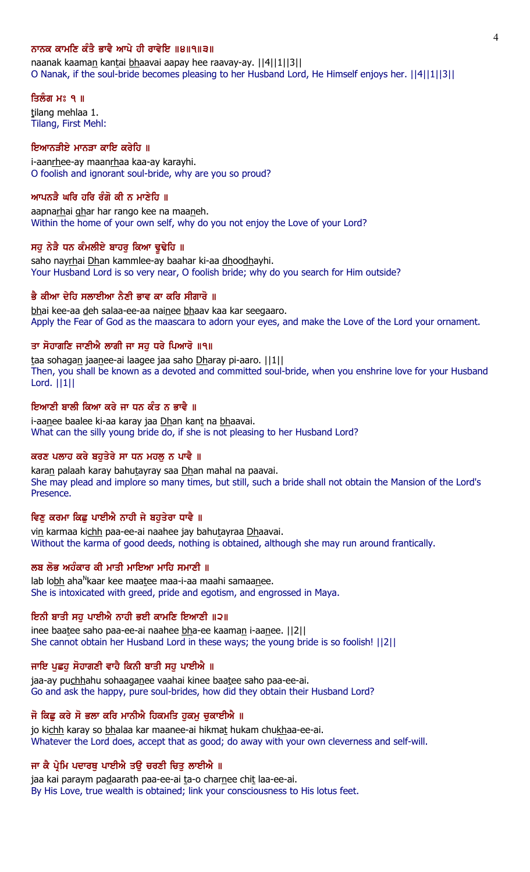## ਨਾਨਕ ਕਾਮਣਿ ਕੰਤੈ ਭਾਵੈ ਆਪੇ ਹੀ ਰਾਵੇਇ ॥੪॥੧॥੩॥

naanak kaaman kantai bhaavai aapay hee raavay-ay. [[4][1][3]] O Nanak, if the soul-bride becomes pleasing to her Husband Lord, He Himself enjoys her. ||4||1||3||

#### ਤਿਲੰਗ ਮਃ ੧ ॥

tilang mehlaa 1. Tilang, First Mehl:

## ਇਆਨੜੀਏ ਮਾਨੜਾ ਕਾਇ ਕਰੇਹਿ ॥

i-aanrhee-ay maanrhaa kaa-ay karayhi. O foolish and ignorant soul-bride, why are you so proud?

## ਆਪਨੜੈ ਘਰਿ ਹਰਿ ਰੰਗੋ ਕੀ ਨ ਮਾਣੇਹਿ ॥

aapnarhai ghar har rango kee na maaneh. Within the home of your own self, why do you not enjoy the Love of your Lord?

### ਸਹ ਨੇੜੈ ਧਨ ਕੰਮਲੀਏ ਬਾਹਰ ਕਿਆ ਢਢੇਹਿ ॥

saho nayrhai Dhan kammlee-ay baahar ki-aa dhoodhayhi. Your Husband Lord is so very near, O foolish bride; why do you search for Him outside?

### ਭੈ ਕੀਆ ਦੇਹਿ ਸਲਾਈਆ ਨੈਣੀ ਭਾਵ ਕਾ ਕਰਿ ਸੀਗਾਰੋ ॥

bhai kee-aa deh salaa-ee-aa nainee bhaav kaa kar seegaaro. Apply the Fear of God as the maascara to adorn your eyes, and make the Love of the Lord your ornament.

## ਤਾ ਸੋਹਾਗਣਿ ਜਾਣੀਐ ਲਾਗੀ ਜਾ ਸਹ ਧਰੇ ਪਿਆਰੋ ॥੧॥

taa sohagan jaanee-ai laagee jaa saho Dharay pi-aaro. ||1|| Then, you shall be known as a devoted and committed soul-bride, when you enshrine love for your Husband Lord. ||1||

## ਇਆਣੀ ਬਾਲੀ ਕਿਆ ਕਰੇ ਜਾ ਧਨ ਕੰਤ ਨ ਭਾਵੈ ॥

i-aanee baalee ki-aa karay jaa Dhan kant na bhaavai. What can the silly young bride do, if she is not pleasing to her Husband Lord?

### ਕਰਣ ਪਲਾਹ ਕਰੇ ਬਹੁਤੇਰੇ ਸਾ ਧਨ ਮਹਲੂ ਨ ਪਾਵੈ ॥

karan palaah karay bahutayray saa Dhan mahal na paavai. She may plead and implore so many times, but still, such a bride shall not obtain the Mansion of the Lord's Presence.

## ਵਿਣੂ ਕਰਮਾ ਕਿਛੂ ਪਾਈਐ ਨਾਹੀ ਜੇ ਬਹੁਤੇਰਾ ਧਾਵੈ ॥

vin karmaa kichh paa-ee-ai naahee jay bahutayraa Dhaavai. Without the karma of good deeds, nothing is obtained, although she may run around frantically.

## ਲਬ ਲੋਭ ਅਹੰਕਾਰ ਕੀ ਮਾਤੀ ਮਾਇਆ ਮਾਹਿ ਸਮਾਣੀ ॥

lab lo<u>bh</u> aha<sup>n</sup>kaar kee maa<u>t</u>ee maa-i-aa maahi samaa<u>n</u>ee. She is intoxicated with greed, pride and egotism, and engrossed in Maya.

#### ਇਨੀ ਬਾਤੀ ਸਹ ਪਾਈਐ ਨਾਹੀ ਭਈ ਕਾਮਣਿ ਇਆਣੀ ॥੨॥

inee baatee saho paa-ee-ai naahee bha-ee kaaman i-aanee. ||2|| She cannot obtain her Husband Lord in these ways; the young bride is so foolish! ||2||

#### ਜਾਇ ਪੁਛਹੂ ਸੋਹਾਗਣੀ ਵਾਹੈ ਕਿਨੀ ਬਾਤੀ ਸਹੂ ਪਾਈਐ ॥

jaa-ay puchhahu sohaaganee vaahai kinee baatee saho paa-ee-ai. Go and ask the happy, pure soul-brides, how did they obtain their Husband Lord?

### ਜੋ ਕਿਛੂ ਕਰੇ ਸੋ ਭਲਾ ਕਰਿ ਮਾਨੀਐ ਹਿਕਮਤਿ ਹੁਕਮੂ ਚੁਕਾਈਐ ॥

jo kichh karay so bhalaa kar maanee-ai hikmat hukam chukhaa-ee-ai. Whatever the Lord does, accept that as good; do away with your own cleverness and self-will.

### ਜਾ ਕੈ ਪ੍ਰੇਮਿ ਪਦਾਰਥੂ ਪਾਈਐ ਤਉ ਚਰਣੀ ਚਿਤੂ ਲਾਈਐ ॥

jaa kai paraym padaarath paa-ee-ai ta-o charnee chit laa-ee-ai. By His Love, true wealth is obtained; link your consciousness to His lotus feet.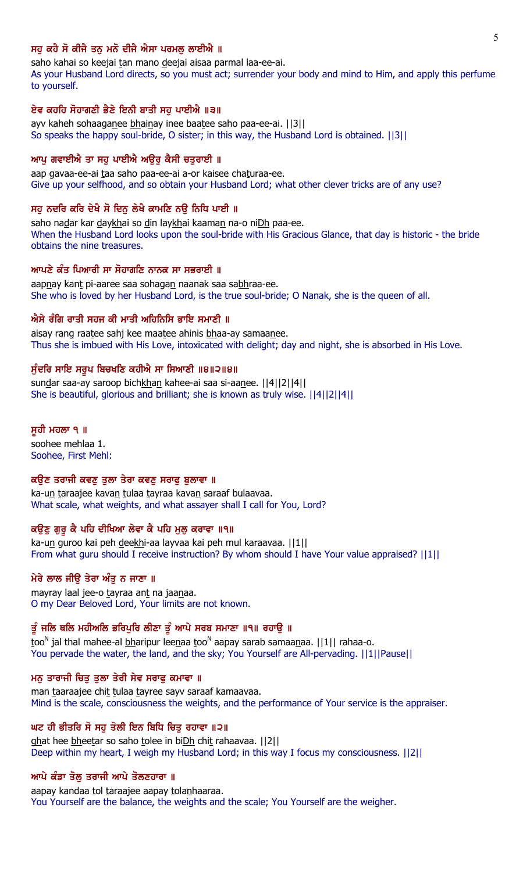## ਸਹ ਕਹੈ ਸੋ ਕੀਜੈ ਤਨ ਮਨੋ ਦੀਜੈ ਐਸਾ ਪਰਮਲ ਲਾਈਐ ॥

saho kahai so keejai tan mano deejai aisaa parmal laa-ee-ai.

As your Husband Lord directs, so you must act; surrender your body and mind to Him, and apply this perfume to yourself.

### ਏਵ ਕਹਹਿ ਸੋਹਾਗਣੀ ਭੈਣੇ ਇਨੀ ਬਾਤੀ ਸਹ ਪਾਈਐ ॥੩॥

ayv kaheh sohaaganee bhainay inee baatee saho paa-ee-ai. ||3|| So speaks the happy soul-bride, O sister; in this way, the Husband Lord is obtained. ||3||

### ਆਪੂ ਗਵਾਈਐ ਤਾ ਸਹੂ ਪਾਈਐ ਅਉਰੂ ਕੈਸੀ ਚਤੁਰਾਈ ॥

aap gavaa-ee-ai taa saho paa-ee-ai a-or kaisee chaturaa-ee. Give up your selfhood, and so obtain your Husband Lord; what other clever tricks are of any use?

### ਸਹੂ ਨਦਰਿ ਕਰਿ ਦੇਖੈ ਸੋ ਦਿਨੂ ਲੇਖੈ ਕਾਮਣਿ ਨਉ ਨਿਧਿ ਪਾਈ ॥

saho nadar kar daykhai so din laykhai kaaman na-o niDh paa-ee. When the Husband Lord looks upon the soul-bride with His Gracious Glance, that day is historic - the bride obtains the nine treasures.

#### ਆਪਣੇ ਕੰਤ ਪਿਆਰੀ ਸਾ ਸੋਹਾਗਣਿ ਨਾਨਕ ਸਾ ਸਭਰਾਈ ॥

aapnay kant pi-aaree saa sohagan naanak saa sabhraa-ee. She who is loved by her Husband Lord, is the true soul-bride; O Nanak, she is the queen of all.

#### ਐਸੇ ਰੰਗਿ ਰਾਤੀ ਸਹਜ ਕੀ ਮਾਤੀ ਅਹਿਨਿਸਿ ਭਾਇ ਸਮਾਣੀ ॥

aisay rang raatee sahj kee maatee ahinis bhaa-ay samaanee. Thus she is imbued with His Love, intoxicated with delight; day and night, she is absorbed in His Love.

### ਸੁੰਦਰਿ ਸਾਇ ਸਰੂਪ ਬਿਚਖਣਿ ਕਹੀਐ ਸਾ ਸਿਆਣੀ ॥੪॥੨॥੪॥

sundar saa-ay saroop bichkhan kahee-ai saa si-aanee. [[4][2][4]] She is beautiful, glorious and brilliant; she is known as truly wise. ||4||2||4||

#### ਸੁਹੀ ਮਹਲਾ ੧ ॥

soohee mehlaa 1. Soohee, First Mehl:

#### ਕਉਣ ਤਰਾਜੀ ਕਵਣੂ ਤੁਲਾ ਤੇਰਾ ਕਵਣੂ ਸਰਾਫੂ ਬੁਲਾਵਾ ॥

ka-un taraajee kavan tulaa tayraa kavan saraaf bulaavaa. What scale, what weights, and what assayer shall I call for You, Lord?

## ਕਉਣੂ ਗੁਰੂ ਕੈ ਪਹਿ ਦੀਖਿਆ ਲੇਵਾ ਕੈ ਪਹਿ ਮੁਲੂ ਕਰਾਵਾ ॥੧॥

ka-un guroo kai peh deekhi-aa layvaa kai peh mul karaavaa. ||1|| From what guru should I receive instruction? By whom should I have Your value appraised? ||1||

## ਮੇਰੇ ਲਾਲ ਜੀੳ ਤੇਰਾ ਅੰਤ ਨ ਜਾਣਾ ॥

mayray laal jee-o tayraa ant na jaanaa. O my Dear Beloved Lord, Your limits are not known.

## ਤੂੰ ਜਲਿ ਥਲਿ ਮਹੀਅਲਿ ਭਰਿਪੁਰਿ ਲੀਣਾ ਤੂੰ ਆਪੇ ਸਰਬ ਸਮਾਣਾ ॥੧॥ ਰਹਾਉ ॥

too<sup>n</sup> jal thal mahee-al <u>bh</u>aripur leenaa too<sup>n</sup> aapay sarab samaanaa. ||1|| rahaa-o. You pervade the water, the land, and the sky; You Yourself are All-pervading. ||1||Pause||

## ਮਨੁ ਤਾਰਾਜੀ ਚਿਤੁ ਤੁਲਾ ਤੇਰੀ ਸੇਵ ਸਰਾਫੁ ਕਮਾਵਾ ॥

man taaraajee chit tulaa tayree sayv saraaf kamaavaa. Mind is the scale, consciousness the weights, and the performance of Your service is the appraiser.

## ਘਟ ਹੀ ਭੀਤਰਿ ਸੋ ਸਹ ਤੋਲੀ ਇਨ ਬਿਧਿ ਚਿਤ ਰਹਾਵਾ ॥੨॥

ghat hee bheetar so saho tolee in biDh chit rahaavaa. [2] Deep within my heart, I weigh my Husband Lord; in this way I focus my consciousness. ||2||

### ਆਪੇ ਕੰਡਾ ਤੋਲੂ ਤਰਾਜੀ ਆਪੇ ਤੋਲਣਹਾਰਾ ॥

aapay kandaa tol taraajee aapay tolanhaaraa. You Yourself are the balance, the weights and the scale; You Yourself are the weigher.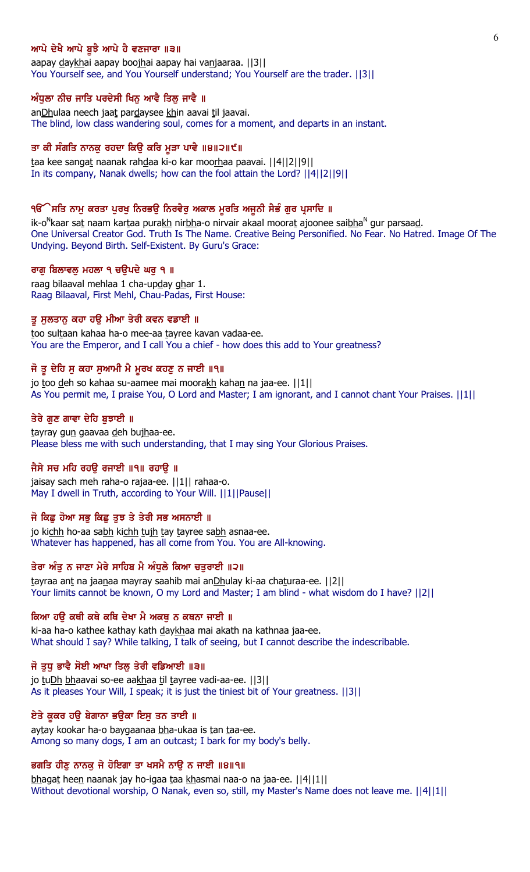## ਆਪੇ ਦੇਖੈ ਆਪੇ ਬੁਝੈ ਆਪੇ ਹੈ ਵਣਜਾਰਾ ॥੩॥

aapay daykhai aapay boojhai aapay hai vanjaaraa. ||3|| You Yourself see, and You Yourself understand; You Yourself are the trader. ||3||

### ਅੰਧੁਲਾ ਨੀਚ ਜਾਤਿ ਪਰਦੇਸੀ ਖਿਨੂ ਆਵੈ ਤਿਲ੍ਹ ਜਾਵੈ ॥

anDhulaa neech jaat pardaysee khin aavai til jaavai. The blind, low class wandering soul, comes for a moment, and departs in an instant.

## ਤਾ ਕੀ ਸੰਗਤਿ ਨਾਨਕੁ ਰਹਦਾ ਕਿਉ ਕਰਿ ਮੁੜਾ ਪਾਵੈ ॥੪॥੨॥੯॥

taa kee sangat naanak rahdaa ki-o kar moorhaa paavai. ||4||2||9|| In its company, Nanak dwells; how can the fool attain the Lord? ||4||2||9||

### ੧ੳੱੇਸਤਿ ਨਾਮੂ ਕਰਤਾ ਪੂਰਖੂ ਨਿਰਭਉ ਨਿਰਵੈਰੂ ਅਕਾਲ ਮੁਰਤਿ ਅਜੂਨੀ ਸੈਭੰ ਗੁਰ ਪ੍ਰਸਾਦਿ ॥

ik-o<sup>N</sup>kaar sa<u>t</u> naam kar<u>t</u>aa pura<u>kh</u> nir<u>bh</u>a-o nirvair akaal moora<u>t</u> ajoonee sai<u>bh</u>a<sup>n</sup> gur parsaa<u>d</u>. One Universal Creator God. Truth Is The Name. Creative Being Personified. No Fear. No Hatred. Image Of The Undying. Beyond Birth. Self-Existent. By Guru's Grace:

## ਰਾਗੁ ਬਿਲਾਵਲੁ ਮਹਲਾ ੧ ਚਉਪਦੇ ਘਰੁ ੧ ॥

raag bilaaval mehlaa 1 cha-upday ghar 1. Raag Bilaaval, First Mehl, Chau-Padas, First House:

### ਤੂ ਸੁਲਤਾਨੂ ਕਹਾ ਹਉ ਮੀਆ ਤੇਰੀ ਕਵਨ ਵਡਾਈ ॥

too sultaan kahaa ha-o mee-aa tayree kavan vadaa-ee. You are the Emperor, and I call You a chief - how does this add to Your greatness?

## ਜੋ ਤੂ ਦੇਹਿ ਸੁ ਕਹਾ ਸੁਆਮੀ ਮੈ ਮੁਰਖ ਕਹਣੁ ਨ ਜਾਈ ॥੧॥

jo too deh so kahaa su-aamee mai moorakh kahan na jaa-ee. ||1|| As You permit me, I praise You, O Lord and Master; I am ignorant, and I cannot chant Your Praises. ||1||

### ਤੇਰੇ ਗੁਣ ਗਾਵਾ ਦੇਹਿ ਬੁਝਾਈ ॥

tayray gun gaavaa deh bujhaa-ee. Please bless me with such understanding, that I may sing Your Glorious Praises.

### ਜੈਸੇ ਸਚ ਮਹਿ ਰਹੳ ਰਜਾਈ ॥੧॥ ਰਹਾੳ ॥

jaisay sach meh raha-o rajaa-ee. ||1|| rahaa-o. May I dwell in Truth, according to Your Will. ||1||Pause||

## ਜੋ ਕਿਛੂ ਹੋਆ ਸਭੂ ਕਿਛੂ ਤੁਝ ਤੇ ਤੇਰੀ ਸਭ ਅਸਨਾਈ ॥

jo kichh ho-aa sabh kichh tujh tay tayree sabh asnaa-ee. Whatever has happened, has all come from You. You are All-knowing.

## ਤੇਰਾ ਅੰਤੂ ਨ ਜਾਣਾ ਮੇਰੇ ਸਾਹਿਬ ਮੈ ਅੰਧੂਲੇ ਕਿਆ ਚਤੁਰਾਈ ॥੨॥

tayraa ant na jaanaa mayray saahib mai anDhulay ki-aa chaturaa-ee. ||2|| Your limits cannot be known, O my Lord and Master; I am blind - what wisdom do I have? ||2||

#### ਕਿਆ ਹੳ ਕਥੀ ਕਥੇ ਕਥਿ ਦੇਖਾ ਮੈ ਅਕਥ ਨ ਕਥਨਾ ਜਾਈ ॥

ki-aa ha-o kathee kathay kath daykhaa mai akath na kathnaa jaa-ee. What should I say? While talking, I talk of seeing, but I cannot describe the indescribable.

### ਜੋ ਤੁਧ ਭਾਵੈ ਸੋਈ ਆਖਾ ਤਿਲ੍ਹ ਤੇਰੀ ਵਡਿਆਈ ॥੩॥

jo tuDh bhaavai so-ee aakhaa til tayree vadi-aa-ee. [[3]] As it pleases Your Will, I speak; it is just the tiniest bit of Your greatness. ||3||

### ਏਤੇ ਕੁਕਰ ਹਉ ਬੇਗਾਨਾ ਭਉਕਾ ਇਸੁ ਤਨ ਤਾਈ ॥

aytay kookar ha-o baygaanaa bha-ukaa is tan taa-ee. Among so many dogs, I am an outcast; I bark for my body's belly.

### ਭਗਤਿ ਹੀਣੂ ਨਾਨਕੂ ਜੇ ਹੋਇਗਾ ਤਾ ਖਸਮੈ ਨਾਉ ਨ ਜਾਈ ॥੪॥੧॥

bhagat heen naanak jay ho-igaa taa khasmai naa-o na jaa-ee. ||4||1|| Without devotional worship, O Nanak, even so, still, my Master's Name does not leave me. [[4][1]]